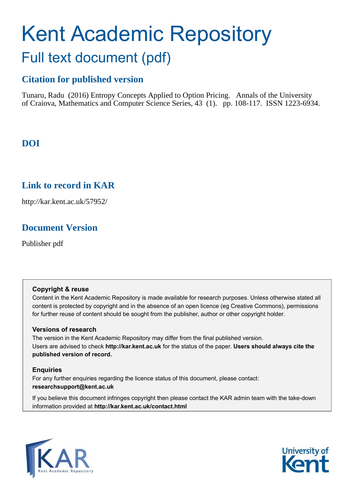# Kent Academic Repository Full text document (pdf)

# **Citation for published version**

Tunaru, Radu (2016) Entropy Concepts Applied to Option Pricing. Annals of the University of Craiova, Mathematics and Computer Science Series, 43 (1). pp. 108-117. ISSN 1223-6934.

# **DOI**

# **Link to record in KAR**

http://kar.kent.ac.uk/57952/

# **Document Version**

Publisher pdf

## **Copyright & reuse**

Content in the Kent Academic Repository is made available for research purposes. Unless otherwise stated all content is protected by copyright and in the absence of an open licence (eg Creative Commons), permissions for further reuse of content should be sought from the publisher, author or other copyright holder.

## **Versions of research**

The version in the Kent Academic Repository may differ from the final published version. Users are advised to check **http://kar.kent.ac.uk** for the status of the paper. **Users should always cite the published version of record.**

## **Enquiries**

For any further enquiries regarding the licence status of this document, please contact: **researchsupport@kent.ac.uk**

If you believe this document infringes copyright then please contact the KAR admin team with the take-down information provided at **http://kar.kent.ac.uk/contact.html**



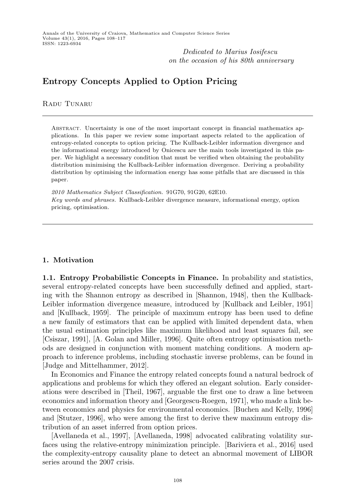*Dedicated to Marius Iosifescu on the occasion of his 80th anniversary*

## Entropy Concepts Applied to Option Pricing

Radu Tunaru

Abstract. Uncertainty is one of the most important concept in financial mathematics applications. In this paper we review some important aspects related to the application of entropy-related concepts to option pricing. The Kullback-Leibler information divergence and the informational energy introduced by Onicescu are the main tools investigated in this paper. We highlight a necessary condition that must be verified when obtaining the probability distribution minimising the Kullback-Leibler information divergence. Deriving a probability distribution by optimising the information energy has some pitfalls that are discussed in this paper.

2010 Mathematics Subject Classification. 91G70, 91G20, 62E10. Key words and phrases. Kullback-Leibler divergence measure, informational energy, option pricing, optimisation.

### 1. Motivation

1.1. Entropy Probabilistic Concepts in Finance. In probability and statistics, several entropy-related concepts have been successfully defined and applied, starting with the Shannon entropy as described in [Shannon, 1948], then the Kullback-Leibler information divergence measure, introduced by [Kullback and Leibler, 1951] and [Kullback, 1959]. The principle of maximum entropy has been used to define a new family of estimators that can be applied with limited dependent data, when the usual estimation principles like maximum likelihood and least squares fail, see [Csiszar, 1991], [A. Golan and Miller, 1996]. Quite often entropy optimisation methods are designed in conjunction with moment matching conditions. A modern approach to inference problems, including stochastic inverse problems, can be found in [Judge and Mittelhammer, 2012].

In Economics and Finance the entropy related concepts found a natural bedrock of applications and problems for which they offered an elegant solution. Early considerations were described in [Theil, 1967], arguable the first one to draw a line between economics and information theory and [Georgescu-Roegen, 1971], who made a link between economics and physics for environmental economics. [Buchen and Kelly, 1996] and [Stutzer, 1996], who were among the first to derive thew maximum entropy distribution of an asset inferred from option prices.

[Avellaneda et al., 1997], [Avellaneda, 1998] advocated calibrating volatility surfaces using the relative-entropy minimization principle. [Bariviera et al., 2016] used the complexity-entropy causality plane to detect an abnormal movement of LIBOR series around the 2007 crisis.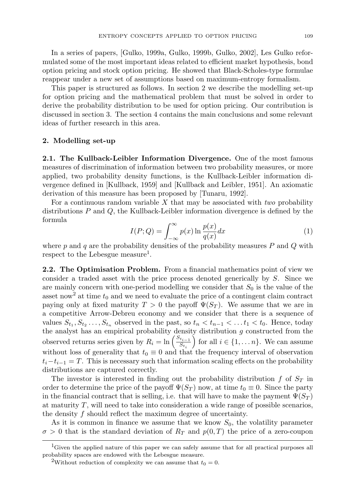In a series of papers, [Gulko, 1999a, Gulko, 1999b, Gulko, 2002], Les Gulko reformulated some of the most important ideas related to efficient market hypothesis, bond option pricing and stock option pricing. He showed that Black-Scholes-type formulae reappear under a new set of assumptions based on maximum-entropy formalism.

This paper is structured as follows. In section 2 we describe the modelling set-up for option pricing and the mathematical problem that must be solved in order to derive the probability distribution to be used for option pricing. Our contribution is discussed in section 3. The section 4 contains the main conclusions and some relevant ideas of further research in this area.

#### 2. Modelling set-up

2.1. The Kullback-Leibler Information Divergence. One of the most famous measures of discrimination of information between two probability measures, or more applied, two probability density functions, is the Kullback-Leibler information divergence defined in [Kullback, 1959] and [Kullback and Leibler, 1951]. An axiomatic derivation of this measure has been proposed by [Tunaru, 1992].

For a continuous random variable X that may be associated with *two* probability distributions  $P$  and  $Q$ , the Kullback-Leibler information divergence is defined by the formula

$$
I(P;Q) = \int_{-\infty}^{\infty} p(x) \ln \frac{p(x)}{q(x)} dx
$$
 (1)

where  $p$  and  $q$  are the probability densities of the probability measures  $P$  and  $Q$  with respect to the Lebesgue measure<sup>1</sup>.

2.2. The Optimisation Problem. From a financial mathematics point of view we consider a traded asset with the price process denoted generically by S. Since we are mainly concern with one-period modelling we consider that  $S_0$  is the value of the asset now<sup>2</sup> at time  $t_0$  and we need to evaluate the price of a contingent claim contract paying only at fixed maturity  $T > 0$  the payoff  $\Psi(S_T)$ . We assume that we are in a competitive Arrow-Debreu economy and we consider that there is a sequence of values  $S_{t_1}, S_{t_2}, \ldots, S_{t_n}$  observed in the past, so  $t_n < t_{n-1} < \ldots t_1 < t_0$ . Hence, today the analyst has an empirical probability density distribution  $g$  constructed from the observed returns series given by  $R_i = \ln\left(\frac{S_{t_{i-1}}}{S_{t_i}}\right)$  $s_{t_i}$ for all  $i \in \{1, \ldots n\}$ . We can assume without loss of generality that  $t_0 \equiv 0$  and that the frequency interval of observation  $t_i-t_{i-1}=T$ . This is necessary such that information scaling effects on the probability distributions are captured correctly.

The investor is interested in finding out the probability distribution  $f$  of  $S_T$  in order to determine the price of the payoff  $\Psi(S_T)$  now, at time  $t_0 \equiv 0$ . Since the party in the financial contract that is selling, i.e. that will have to make the payment  $\Psi(S_T)$ at maturity  $T$ , will need to take into consideration a wide range of possible scenarios, the density  $f$  should reflect the maximum degree of uncertainty.

As it is common in finance we assume that we know  $S_0$ , the volatility parameter  $\sigma > 0$  that is the standard deviation of  $R_T$  and  $p(0,T)$  the price of a zero-coupon

<sup>&</sup>lt;sup>1</sup>Given the applied nature of this paper we can safely assume that for all practical purposes all probability spaces are endowed with the Lebesgue measure.

<sup>&</sup>lt;sup>2</sup>Without reduction of complexity we can assume that  $t_0 = 0$ .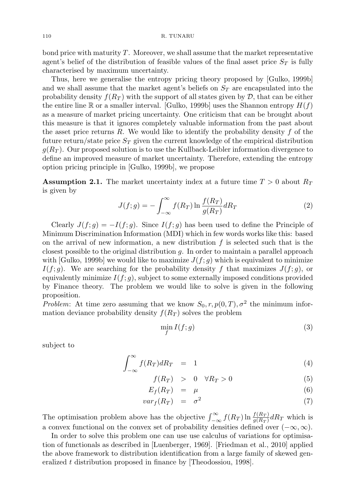bond price with maturity  $T$ . Moreover, we shall assume that the market representative agent's belief of the distribution of feasible values of the final asset price  $S_T$  is fully characterised by maximum uncertainty.

Thus, here we generalise the entropy pricing theory proposed by [Gulko, 1999b] and we shall assume that the market agent's beliefs on  $S_T$  are encapsulated into the probability density  $f(R_T)$  with the support of all states given by  $\mathcal D$ , that can be either the entire line R or a smaller interval. [Gulko, 1999b] uses the Shannon entropy  $H(f)$ as a measure of market pricing uncertainty. One criticism that can be brought about this measure is that it ignores completely valuable information from the past about the asset price returns  $R$ . We would like to identify the probability density  $f$  of the future return/state price  $S_T$  given the current knowledge of the empirical distribution  $g(R_T)$ . Our proposed solution is to use the Kullback-Leibler information divergence to define an improved measure of market uncertainty. Therefore, extending the entropy option pricing principle in [Gulko, 1999b], we propose

**Assumption 2.1.** The market uncertainty index at a future time  $T > 0$  about  $R_T$ is given by

$$
J(f;g) = -\int_{-\infty}^{\infty} f(R_T) \ln \frac{f(R_T)}{g(R_T)} dR_T
$$
\n(2)

Clearly  $J(f; g) = -I(f; g)$ . Since  $I(f; g)$  has been used to define the Principle of Minimum Discrimination Information (MDI) which in few words works like this: based on the arrival of new information, a new distribution  $f$  is selected such that is the closest possible to the original distribution  $g$ . In order to maintain a parallel approach with [Gulko, 1999b] we would like to maximize  $J(f;g)$  which is equivalent to minimize  $I(f; q)$ . We are searching for the probability density f that maximizes  $J(f; q)$ , or equivalently minimize  $I(f; q)$ , subject to some externally imposed conditions provided by Finance theory. The problem we would like to solve is given in the following proposition.

*Problem*: At time zero assuming that we know  $S_0, r, p(0, T), \sigma^2$  the minimum information deviance probability density  $f(R_T)$  solves the problem

$$
\min_{f} I(f;g) \tag{3}
$$

subject to

$$
\int_{-\infty}^{\infty} f(R_T) dR_T = 1 \tag{4}
$$

$$
f(R_T) > 0 \quad \forall R_T > 0 \tag{5}
$$

$$
E_f(R_T) = \mu \tag{6}
$$

$$
var_f(R_T) = \sigma^2 \tag{7}
$$

The optimisation problem above has the objective  $\int_{-\infty}^{\infty} f(R_T) \ln \frac{f(R_T)}{g(R_T)} dR_T$  which is a convex functional on the convex set of probability densities defined over  $(-\infty, \infty)$ .

In order to solve this problem one can use use calculus of variations for optimisation of functionals as described in [Luenberger, 1969]. [Friedman et al., 2010] applied the above framework to distribution identification from a large family of skewed generalized  $t$  distribution proposed in finance by [Theodossiou, 1998].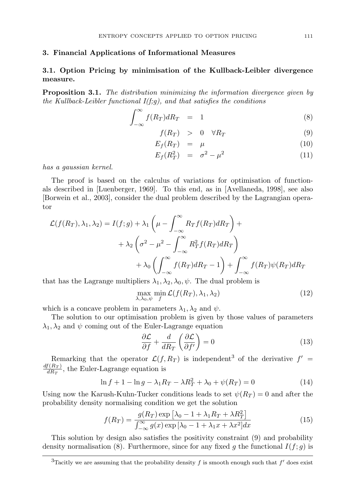#### 3. Financial Applications of Informational Measures

## 3.1. Option Pricing by minimisation of the Kullback-Leibler divergence measure.

Proposition 3.1. *The distribution minimizing the information divergence given by the Kullback-Leibler functional I(f;g), and that satisfies the conditions*

$$
\int_{-\infty}^{\infty} f(R_T) dR_T = 1 \tag{8}
$$

$$
f(R_T) > 0 \quad \forall R_T \tag{9}
$$

$$
E_f(R_T) = \mu \tag{10}
$$

$$
E_f(R_T^2) = \sigma^2 - \mu^2 \tag{11}
$$

*has a gaussian kernel.*

The proof is based on the calculus of variations for optimisation of functionals described in [Luenberger, 1969]. To this end, as in [Avellaneda, 1998], see also [Borwein et al., 2003], consider the dual problem described by the Lagrangian operator

$$
\mathcal{L}(f(R_T), \lambda_1, \lambda_2) = I(f; g) + \lambda_1 \left(\mu - \int_{-\infty}^{\infty} R_T f(R_T) dR_T\right) + \n+ \lambda_2 \left(\sigma^2 - \mu^2 - \int_{-\infty}^{\infty} R_T^2 f(R_T) dR_T\right) \n+ \lambda_0 \left(\int_{-\infty}^{\infty} f(R_T) dR_T - 1\right) + \int_{-\infty}^{\infty} f(R_T) \psi(R_T) dR_T
$$

that has the Lagrange multipliers  $\lambda_1, \lambda_2, \lambda_0, \psi$ . The dual problem is

$$
\max_{\lambda,\lambda_0,\psi} \min_{f} \mathcal{L}(f(R_T),\lambda_1,\lambda_2) \tag{12}
$$

which is a concave problem in parameters  $\lambda_1, \lambda_2$  and  $\psi$ .

The solution to our optimisation problem is given by those values of parameters  $\lambda_1, \lambda_2$  and  $\psi$  coming out of the Euler-Lagrange equation

$$
\frac{\partial \mathcal{L}}{\partial f} + \frac{d}{dR_T} \left( \frac{\partial \mathcal{L}}{\partial f'} \right) = 0 \tag{13}
$$

Remarking that the operator  $\mathcal{L}(f, R_T)$  is independent<sup>3</sup> of the derivative  $f' =$  $df(R_T)$  $\frac{d(R_T)}{dR_T}$ , the Euler-Lagrange equation is

$$
\ln f + 1 - \ln g - \lambda_1 R_T - \lambda R_T^2 + \lambda_0 + \psi(R_T) = 0 \tag{14}
$$

Using now the Karush-Kuhn-Tucker conditions leads to set  $\psi(R_T) = 0$  and after the probability density normalising condition we get the solution

$$
f(R_T) = \frac{g(R_T) \exp\left[\lambda_0 - 1 + \lambda_1 R_T + \lambda R_T^2\right]}{\int_{-\infty}^{\infty} g(x) \exp\left[\lambda_0 - 1 + \lambda_1 x + \lambda x^2\right] dx}
$$
(15)

This solution by design also satisfies the positivity constraint (9) and probability density normalisation (8). Furthermore, since for any fixed g the functional  $I(f;g)$  is

<sup>&</sup>lt;sup>3</sup>Tacitly we are assuming that the probability density f is smooth enough such that  $f'$  does exist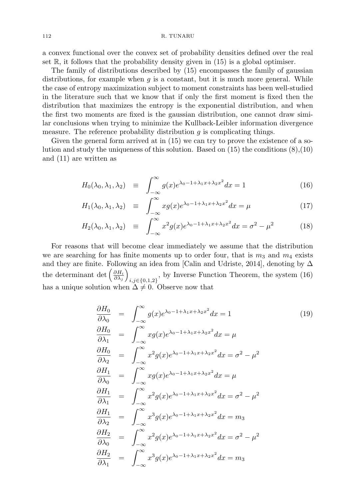a convex functional over the convex set of probability densities defined over the real set  $\mathbb{R}$ , it follows that the probability density given in (15) is a global optimiser.

The family of distributions described by (15) encompasses the family of gaussian distributions, for example when  $q$  is a constant, but it is much more general. While the case of entropy maximization subject to moment constraints has been well-studied in the literature such that we know that if only the first moment is fixed then the distribution that maximizes the entropy is the exponential distribution, and when the first two moments are fixed is the gaussian distribution, one cannot draw similar conclusions when trying to minimize the Kullback-Leibler information divergence measure. The reference probability distribution  $q$  is complicating things.

Given the general form arrived at in (15) we can try to prove the existence of a solution and study the uniqueness of this solution. Based on  $(15)$  the conditions  $(8),(10)$ and (11) are written as

$$
H_0(\lambda_0, \lambda_1, \lambda_2) \equiv \int_{-\infty}^{\infty} g(x) e^{\lambda_0 - 1 + \lambda_1 x + \lambda_2 x^2} dx = 1 \tag{16}
$$

$$
H_1(\lambda_0, \lambda_1, \lambda_2) \equiv \int_{-\infty}^{\infty} x g(x) e^{\lambda_0 - 1 + \lambda_1 x + \lambda_2 x^2} dx = \mu \tag{17}
$$

$$
H_2(\lambda_0, \lambda_1, \lambda_2) \equiv \int_{-\infty}^{\infty} x^2 g(x) e^{\lambda_0 - 1 + \lambda_1 x + \lambda_2 x^2} dx = \sigma^2 - \mu^2 \tag{18}
$$

For reasons that will become clear immediately we assume that the distribution we are searching for has finite moments up to order four, that is  $m_3$  and  $m_4$  exists and they are finite. Following an idea from [Calin and Udriste, 2014], denoting by  $\Delta$ the determinant det  $\left(\frac{\partial H_i}{\partial \lambda_j}\right)$  $i,j \in \{0,1,2\}$ , by Inverse Function Theorem, the system (16) has a unique solution when  $\Delta \neq 0$ . Observe now that

$$
\frac{\partial H_0}{\partial \lambda_0} = \int_{-\infty}^{\infty} g(x)e^{\lambda_0 - 1 + \lambda_1 x + \lambda_2 x^2} dx = 1
$$
\n
$$
\frac{\partial H_0}{\partial \lambda_1} = \int_{-\infty}^{\infty} x g(x)e^{\lambda_0 - 1 + \lambda_1 x + \lambda_2 x^2} dx = \mu
$$
\n
$$
\frac{\partial H_0}{\partial \lambda_2} = \int_{-\infty}^{\infty} x^2 g(x)e^{\lambda_0 - 1 + \lambda_1 x + \lambda_2 x^2} dx = \sigma^2 - \mu^2
$$
\n
$$
\frac{\partial H_1}{\partial \lambda_0} = \int_{-\infty}^{\infty} x g(x)e^{\lambda_0 - 1 + \lambda_1 x + \lambda_2 x^2} dx = \mu
$$
\n
$$
\frac{\partial H_1}{\partial \lambda_1} = \int_{-\infty}^{\infty} x^2 g(x)e^{\lambda_0 - 1 + \lambda_1 x + \lambda_2 x^2} dx = \sigma^2 - \mu^2
$$
\n
$$
\frac{\partial H_1}{\partial \lambda_2} = \int_{-\infty}^{\infty} x^3 g(x)e^{\lambda_0 - 1 + \lambda_1 x + \lambda_2 x^2} dx = m_3
$$
\n
$$
\frac{\partial H_2}{\partial \lambda_0} = \int_{-\infty}^{\infty} x^2 g(x)e^{\lambda_0 - 1 + \lambda_1 x + \lambda_2 x^2} dx = \sigma^2 - \mu^2
$$
\n
$$
\frac{\partial H_2}{\partial \lambda_1} = \int_{-\infty}^{\infty} x^3 g(x)e^{\lambda_0 - 1 + \lambda_1 x + \lambda_2 x^2} dx = m_3
$$
\n(19)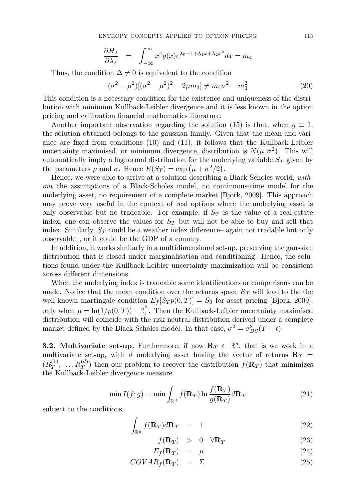$$
\frac{\partial H_2}{\partial \lambda_2} = \int_{-\infty}^{\infty} x^4 g(x) e^{\lambda_0 - 1 + \lambda_1 x + \lambda_2 x^2} dx = m_4
$$

Thus, the condition  $\Delta \neq 0$  is equivalent to the condition

$$
(\sigma^2 - \mu^2)[(\sigma^2 - \mu^2)^2 - 2\mu m_3] \neq m_4 \sigma^2 - m_3^2
$$
 (20)

This condition is a necessary condition for the existence and uniqueness of the distribution with minimum Kullback-Leibler divergence and it is less known in the option pricing and calibration financial mathematics literature.

Another important observation regarding the solution (15) is that, when  $g \equiv 1$ , the solution obtained belongs to the gaussian family. Given that the mean and variance are fixed from conditions (10) and (11), it follows that the Kullback-Leibler uncertainty maximised, or minimum divergence, distribution is  $N(\mu, \sigma^2)$ . This will automatically imply a lognormal distribution for the underlying variable  $S_T$  given by the parameters  $\mu$  and  $\sigma$ . Hence  $E(S_T) = \exp(\mu + \sigma^2/2)$ .

Hence, we were able to arrive at a solution describing a Black-Scholes world, *without* the assumptions of a Black-Scholes model, no continuous-time model for the underlying asset, no requirement of a complete market [Bjork, 2009]. This approach may prove very useful in the context of real options where the underlying asset is only observable but no tradeable. For example, if  $S_T$  is the value of a real-estate index, one can observe the values for  $S_T$  but will not be able to buy and sell that index. Similarly,  $S_T$  could be a weather index difference– again not tradable but only observable–, or it could be the GDP of a country.

In addition, it works similarly in a multidimensional set-up, preserving the gaussian distribution that is closed under marginalisation and conditioning. Hence, the solutions found under the Kullback-Leibler uncertainty maximization will be consistent across different dimensions.

When the underlying index is tradeable some identifications or comparisons can be made. Notice that the mean condition over the returns space  $R<sub>T</sub>$  will lead to the the well-known martingale condition  $E_f[S_T p(0,T)] = S_0$  for asset pricing [Bjork, 2009], only when  $\mu = \ln(1/p(0,T)) - \frac{\sigma^2}{2}$  $\frac{1}{2}$ . Then the Kullback-Leibler uncertainty maximised distribution will coincide with the risk-neutral distribution derived under a complete market defined by the Black-Scholes model. In that case,  $\sigma^2 = \sigma_{BS}^2(T - t)$ .

**3.2. Multivariate set-up.** Furthermore, if now  $\mathbf{R}_T \in \mathbb{R}^d$ , that is we work in a multivariate set-up, with d underlying asset having the vector of returns  $\mathbf{R}_T$  =  $(R_T^{(1)}, \ldots, R_T^{(d)})$  then our problem to recover the distribution  $f(\mathbf{R}_T)$  that minimizes the Kullback-Leibler divergence measure

$$
\min I(f;g) = \min \int_{\mathbb{R}^d} f(\mathbf{R}_T) \ln \frac{f(\mathbf{R}_T)}{g(\mathbf{R}_T)} d\mathbf{R}_T
$$
\n(21)

subject to the conditions

$$
\int_{\mathbb{R}^d} f(\mathbf{R}_T) d\mathbf{R}_T = 1 \tag{22}
$$

$$
f(\mathbf{R}_T) > 0 \quad \forall \mathbf{R}_T \tag{23}
$$

$$
E_f(\mathbf{R}_T) = \mu \tag{24}
$$

$$
COVAR_f(\mathbf{R}_T) = \Sigma \tag{25}
$$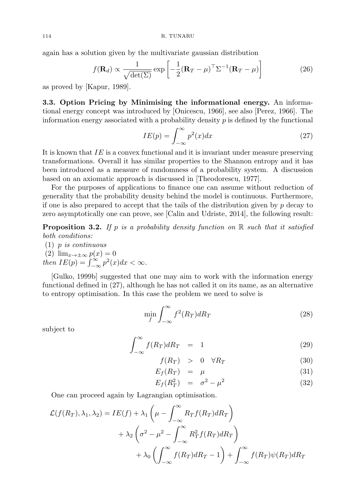again has a solution given by the multivariate gaussian distribution

$$
f(\mathbf{R}_d) \propto \frac{1}{\sqrt{\det(\Sigma)}} \exp\left[-\frac{1}{2}(\mathbf{R}_T - \mu)^\top \Sigma^{-1}(\mathbf{R}_T - \mu)\right]
$$
(26)

as proved by [Kapur, 1989].

3.3. Option Pricing by Minimising the informational energy. An informational energy concept was introduced by [Onicescu, 1966], see also [Perez, 1966]. The information energy associated with a probability density  $p$  is defined by the functional

$$
IE(p) = \int_{-\infty}^{\infty} p^2(x) dx
$$
 (27)

It is known that  $IE$  is a convex functional and it is invariant under measure preserving transformations. Overall it has similar properties to the Shannon entropy and it has been introduced as a measure of randomness of a probability system. A discussion based on an axiomatic approach is discussed in [Theodorescu, 1977].

For the purposes of applications to finance one can assume without reduction of generality that the probability density behind the model is continuous. Furthermore, if one is also prepared to accept that the tails of the distribution given by  $p$  decay to zero asymptotically one can prove, see [Calin and Udriste, 2014], the following result:

Proposition 3.2. *If* p *is a probability density function on* R *such that it satisfied both conditions:*

- (1) p *is continuous*
- $(2)$   $\lim_{x\to\pm\infty} p(x) = 0$ *then*  $IE(p) = \int_{-\infty}^{\infty} p^2(x) dx < \infty$ .

[Gulko, 1999b] suggested that one may aim to work with the information energy functional defined in (27), although he has not called it on its name, as an alternative to entropy optimisation. In this case the problem we need to solve is

$$
\min_{f} \int_{-\infty}^{\infty} f^2(R_T) dR_T \tag{28}
$$

subject to

$$
\int_{-\infty}^{\infty} f(R_T) dR_T = 1 \tag{29}
$$

$$
f(R_T) > 0 \quad \forall R_T \tag{30}
$$

$$
E_f(R_T) = \mu \tag{31}
$$

$$
E_f(R_T^2) = \sigma^2 - \mu^2 \tag{32}
$$

One can proceed again by Lagrangian optimisation.

$$
\mathcal{L}(f(R_T), \lambda_1, \lambda_2) = IE(f) + \lambda_1 \left(\mu - \int_{-\infty}^{\infty} R_T f(R_T) dR_T\right) \n+ \lambda_2 \left(\sigma^2 - \mu^2 - \int_{-\infty}^{\infty} R_T^2 f(R_T) dR_T\right) \n+ \lambda_0 \left(\int_{-\infty}^{\infty} f(R_T) dR_T - 1\right) + \int_{-\infty}^{\infty} f(R_T) \psi(R_T) dR_T
$$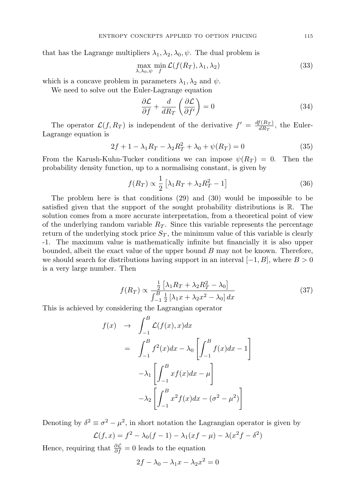that has the Lagrange multipliers  $\lambda_1, \lambda_2, \lambda_0, \psi$ . The dual problem is

$$
\max_{\lambda,\lambda_0,\psi} \min_{f} \mathcal{L}(f(R_T), \lambda_1, \lambda_2) \tag{33}
$$

which is a concave problem in parameters  $\lambda_1, \lambda_2$  and  $\psi$ .

We need to solve out the Euler-Lagrange equation

$$
\frac{\partial \mathcal{L}}{\partial f} + \frac{d}{dR_T} \left( \frac{\partial \mathcal{L}}{\partial f'} \right) = 0 \tag{34}
$$

The operator  $\mathcal{L}(f, R_T)$  is independent of the derivative  $f' = \frac{df(R_T)}{dR_T}$  $\frac{d(R_T)}{dR_T}$ , the Euler-Lagrange equation is

$$
2f + 1 - \lambda_1 R_T - \lambda_2 R_T^2 + \lambda_0 + \psi(R_T) = 0
$$
\n(35)

From the Karush-Kuhn-Tucker conditions we can impose  $\psi(R_T) = 0$ . Then the probability density function, up to a normalising constant, is given by

$$
f(R_T) \propto \frac{1}{2} \left[ \lambda_1 R_T + \lambda_2 R_T^2 - 1 \right] \tag{36}
$$

The problem here is that conditions (29) and (30) would be impossible to be satisfied given that the support of the sought probability distributions is R. The solution comes from a more accurate interpretation, from a theoretical point of view of the underlying random variable  $R_T$ . Since this variable represents the percentage return of the underlying stock price  $S_T$ , the minimum value of this variable is clearly -1. The maximum value is mathematically infinite but financially it is also upper bounded, albeit the exact value of the upper bound  $B$  may not be known. Therefore, we should search for distributions having support in an interval  $[-1, B]$ , where  $B > 0$ is a very large number. Then

$$
f(R_T) \propto \frac{\frac{1}{2} \left[ \lambda_1 R_T + \lambda_2 R_T^2 - \lambda_0 \right]}{\int_{-1}^B \frac{1}{2} \left[ \lambda_1 x + \lambda_2 x^2 - \lambda_0 \right] dx}
$$
 (37)

This is achieved by considering the Lagrangian operator

$$
f(x) \rightarrow \int_{-1}^{B} \mathcal{L}(f(x), x) dx
$$
  
= 
$$
\int_{-1}^{B} f^{2}(x) dx - \lambda_{0} \left[ \int_{-1}^{B} f(x) dx - 1 \right]
$$
  

$$
-\lambda_{1} \left[ \int_{-1}^{B} x f(x) dx - \mu \right]
$$
  

$$
-\lambda_{2} \left[ \int_{-1}^{B} x^{2} f(x) dx - (\sigma^{2} - \mu^{2}) \right]
$$

Denoting by  $\delta^2 \equiv \sigma^2 - \mu^2$ , in short notation the Lagrangian operator is given by  $\mathcal{L}(f, x) = f^2 - \lambda_0(f - 1) - \lambda_1(xf - \mu) - \lambda(x^2f - \delta^2)$ 

Hence, requiring that  $\frac{\partial \mathcal{L}}{\partial f} = 0$  leads to the equation

$$
2f - \lambda_0 - \lambda_1 x - \lambda_2 x^2 = 0
$$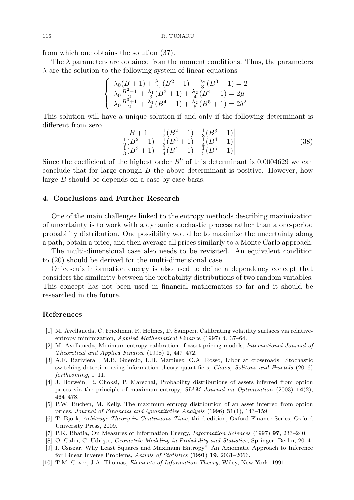from which one obtains the solution (37).

The  $\lambda$  parameters are obtained from the moment conditions. Thus, the parameters  $\lambda$  are the solution to the following system of linear equations

$$
\begin{cases} \lambda_0(B+1) + \frac{\lambda_1}{2}(B^2 - 1) + \frac{\lambda_2}{3}(B^3 + 1) = 2\\ \lambda_0 \frac{B^2 - 1}{2} + \frac{\lambda_1}{3}(B^3 + 1) + \frac{\lambda_2}{4}(B^4 - 1) = 2\mu\\ \lambda_0 \frac{B^3 + 1}{2} + \frac{\lambda_1}{4}(B^4 - 1) + \frac{\lambda_2}{5}(B^5 + 1) = 2\delta^2 \end{cases}
$$

This solution will have a unique solution if and only if the following determinant is different from zero

$$
\begin{vmatrix}\nB+1 & \frac{1}{2}(B^2-1) & \frac{1}{3}(B^3+1) \\
\frac{1}{2}(B^2-1) & \frac{1}{3}(B^3+1) & \frac{1}{4}(B^4-1) \\
\frac{1}{3}(B^3+1) & \frac{1}{4}(B^4-1) & \frac{1}{5}(B^5+1)\n\end{vmatrix}
$$
\n(38)

Since the coefficient of the highest order  $B^9$  of this determinant is 0.0004629 we can conclude that for large enough  $B$  the above determinant is positive. However, how large B should be depends on a case by case basis.

#### 4. Conclusions and Further Research

One of the main challenges linked to the entropy methods describing maximization of uncertainty is to work with a dynamic stochastic process rather than a one-period probability distribution. One possibility would be to maximize the uncertainty along a path, obtain a price, and then average all prices similarly to a Monte Carlo approach.

The multi-dimensional case also needs to be revisited. An equivalent condition to (20) should be derived for the multi-dimensional case.

Onicescu's information energy is also used to define a dependency concept that considers the similarity between the probability distributions of two random variables. This concept has not been used in financial mathematics so far and it should be researched in the future.

#### References

- [1] M. Avellaneda, C. Friedman, R. Holmes, D. Samperi, Calibrating volatility surfaces via relativeentropy minimization, Applied Mathematical Finance (1997) 4, 37–64.
- [2] M. Avellaneda, Minimum-entropy calibration of asset-pricing models, International Journal of Theoretical and Applied Finance (1998) 1, 447–472.
- [3] A.F. Bariviera , M.B. Guercio, L.B. Martinez, O.A. Rosso, Libor at crossroads: Stochastic switching detection using information theory quantifiers, Chaos, Solitons and Fractals (2016) forthcoming, 1–11.
- [4] J. Borwein, R. Choksi, P. Marechal, Probability distributions of assets inferred from option prices via the principle of maximum entropy,  $SIAM$  Journal on Optimization (2003)  $14(2)$ , 464–478.
- [5] P.W. Buchen, M. Kelly, The maximum entropy distribution of an asset inferred from option prices, Journal of Financial and Quantitative Analysis (1996) 31(1), 143–159.
- [6] T. Bjork, Arbitrage Theory in Continuous Time, third edition, Oxford Finance Series, Oxford University Press, 2009.
- [7] P.K. Bhatia, On Measures of Information Energy, Information Sciences (1997) 97, 233–240.
- [8] O. Călin, C. Udriște, Geometric Modeling in Probability and Statistics, Springer, Berlin, 2014.
- [9] I. Csiszar, Why Least Squares and Maximum Entropy? An Axiomatic Approach to Inference for Linear Inverse Problems, Annals of Statistics (1991) 19, 2031–2066.
- [10] T.M. Cover, J.A. Thomas, Elements of Information Theory, Wiley, New York, 1991.